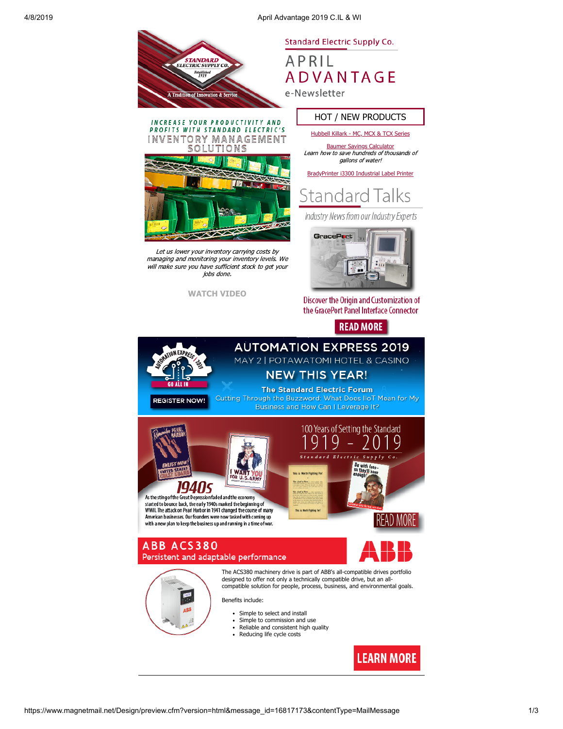4/8/2019 April Advantage 2019 C.IL & WI



1 N

**Standard Electric Supply Co.** 

APRIL **ADVANTAGE** e-Newsletter

HOT / NEW PRODUCTS

[Hubbell Killark - MC, MCX & TCX Series](https://images.magnetmail.net/images/clients/SESC/attach/killark_fittings.pdf) [Baumer Savings Calculator](https://www.baumer.com/us/en/savings-calculator-us-version/a/savings-calculator-us-version)

INCREASE YOUR PRODUCTIVITY AND PROFITS WITH STANDARD ELECTRIC'S VENTORY MANAGEMENT SOLUTIONS Learn how to save hundreds of thousands of



Let us lower your inventory carrying costs by managing and monitoring your inventory levels. We will make sure you have sufficient stock to get your jobs done.

**[WATCH VIDEO](https://www.youtube.com/watch?v=4HKmmhI_Xfo&feature=youtu.be)**





Industry News from our Industry Experts



**Discover the Origin and Customization of** the GracePort Panel Interface Connector

# **READ MORE**

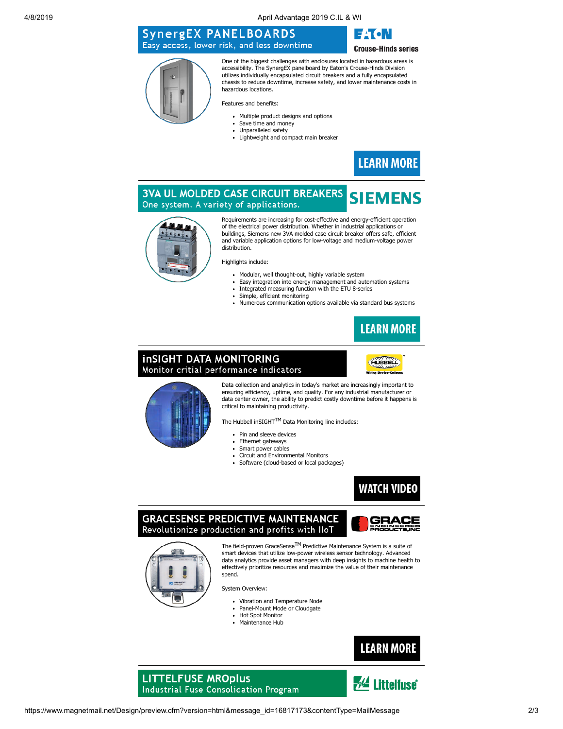4/8/2019 April Advantage 2019 C.IL & WI

## **SynergEX PANELBOARDS** Easy access, lower risk, and less downtime



**Crouse-Hinds series** 

One of the biggest challenges with enclosures located in hazardous areas is accessibility. The SynergEX panelboard by Eaton's Crouse-Hinds Division utilizes individually encapsulated circuit breakers and a fully encapsulated chassis to reduce downtime, increase safety, and lower maintenance costs in hazardous locations.

Features and benefits:

- Multiple product designs and options
- $\bullet$ Save time and money
- Unnaralleled safety
- Lightweight and compact main breaker  $\ddot{\phantom{a}}$



#### **3VA UL MOLDED CASE CIRCUIT BREAKERS SIEMENS** One system. A variety of applications.



Requirements are increasing for cost-effective and energy-efficient operation of the electrical power distribution. Whether in industrial applications or buildings, Siemens new 3VA molded case circuit breaker offers safe, efficient and variable application options for low-voltage and medium-voltage power distribution.

Highlights include:

- Modular, well thought-out, highly variable system
- Easy integration into energy management and automation systems Integrated measuring function with the ETU 8-series
- Simple, efficient monitoring
- Numerous communication options available via standard bus systems  $\ddot{\phantom{a}}$



### **inSIGHT DATA MONITORING** Monitor critial performance indicators





Data collection and analytics in today's market are increasingly important to ensuring efficiency, uptime, and quality. For any industrial manufacturer or data center owner, the ability to predict costly downtime before it happens is critical to maintaining productivity.

The Hubbell inSIGHT<sup>TM</sup> Data Monitoring line includes:

- Pin and sleeve devices  $\ddot{\phantom{a}}$
- $\ddot{\phantom{a}}$ Ethernet gateways
- Smart power cables  $\ddot{\phantom{a}}$
- Circuit and Environmental Monitors  $\bullet$  $\bullet$
- Software (cloud-based or local packages)



**GRACESENSE PREDICTIVE MAINTENANCE** Revolutionize production and profits with IloT





The field-proven GraceSense<sup>TM</sup> Predictive Maintenance System is a suite of smart devices that utilize low-power wireless sensor technology. Advanced data analytics provide asset managers with deep insights to machine health to effectively prioritize resources and maximize the value of their maintenance spend.

System Overview:

- Vibration and Temperature Node  $\bullet$
- Panel-Mount Mode or Cloudgate
- Hot Spot Monitor
- Maintenance Hub